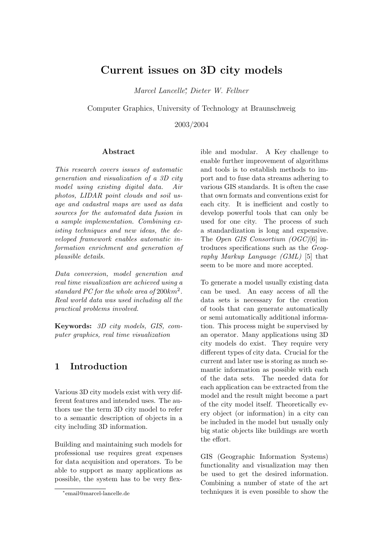## Current issues on 3D city models

Marcel Lancelle<sup>∗</sup> , Dieter W. Fellner

Computer Graphics, University of Technology at Braunschweig

2003/2004

#### Abstract

This research covers issues of automatic generation and visualization of a 3D city model using existing digital data. Air photos, LIDAR point clouds and soil usage and cadastral maps are used as data sources for the automated data fusion in a sample implementation. Combining existing techniques and new ideas, the developed framework enables automatic information enrichment and generation of plausible details.

Data conversion, model generation and real time visualization are achieved using a standard PC for the whole area of  $200km^2$ . Real world data was used including all the practical problems involved.

Keywords: 3D city models, GIS, computer graphics, real time visualization

### 1 Introduction

Various 3D city models exist with very different features and intended uses. The authors use the term 3D city model to refer to a semantic description of objects in a city including 3D information.

Building and maintaining such models for professional use requires great expenses for data acquisition and operators. To be able to support as many applications as possible, the system has to be very flexible and modular. A Key challenge to enable further improvement of algorithms and tools is to establish methods to import and to fuse data streams adhering to various GIS standards. It is often the case that own formats and conventions exist for each city. It is inefficient and costly to develop powerful tools that can only be used for one city. The process of such a standardization is long and expensive. The Open GIS Consortium (OGC)[\[6\]](#page-5-0) introduces specifications such as the Geography Markup Language (GML) [\[5\]](#page-5-1) that seem to be more and more accepted.

To generate a model usually existing data can be used. An easy access of all the data sets is necessary for the creation of tools that can generate automatically or semi automatically additional information. This process might be supervised by an operator. Many applications using 3D city models do exist. They require very different types of city data. Crucial for the current and later use is storing as much semantic information as possible with each of the data sets. The needed data for each application can be extracted from the model and the result might become a part of the city model itself. Theoretically every object (or information) in a city can be included in the model but usually only big static objects like buildings are worth the effort.

GIS (Geographic Information Systems) functionality and visualization may then be used to get the desired information. Combining a number of state of the art techniques it is even possible to show the

<sup>∗</sup> email@marcel-lancelle.de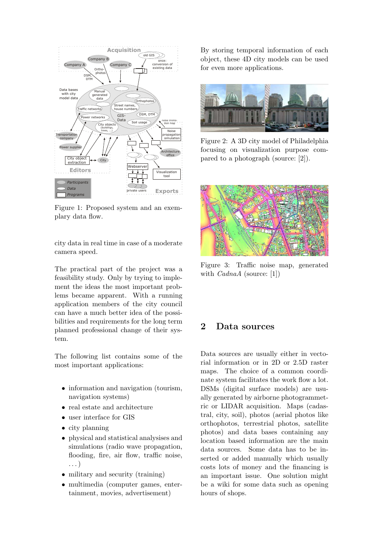

Figure 1: Proposed system and an exemplary data flow.

city data in real time in case of a moderate camera speed.

The practical part of the project was a feasibility study. Only by trying to implement the ideas the most important problems became apparent. With a running application members of the city council can have a much better idea of the possibilities and requirements for the long term planned professional change of their system.

The following list contains some of the most important applications:

- information and navigation (tourism, navigation systems)
- real estate and architecture
- user interface for GIS
- city planning
- physical and statistical analysises and simulations (radio wave propagation, flooding, fire, air flow, traffic noise, . . . )
- military and security (training)
- multimedia (computer games, entertainment, movies, advertisement)

By storing temporal information of each object, these 4D city models can be used for even more applications.



Figure 2: A 3D city model of Philadelphia focusing on visualization purpose compared to a photograph (source: [\[2\]](#page-5-2)).



Figure 3: Traffic noise map, generated with  $Cada$  (source: [\[1\]](#page-5-3))

#### 2 Data sources

Data sources are usually either in vectorial information or in 2D or 2.5D raster maps. The choice of a common coordinate system facilitates the work flow a lot. DSMs (digital surface models) are usually generated by airborne photogrammetric or LIDAR acquisition. Maps (cadastral, city, soil), photos (aerial photos like orthophotos, terrestrial photos, satellite photos) and data bases containing any location based information are the main data sources. Some data has to be inserted or added manually which usually costs lots of money and the financing is an important issue. One solution might be a wiki for some data such as opening hours of shops.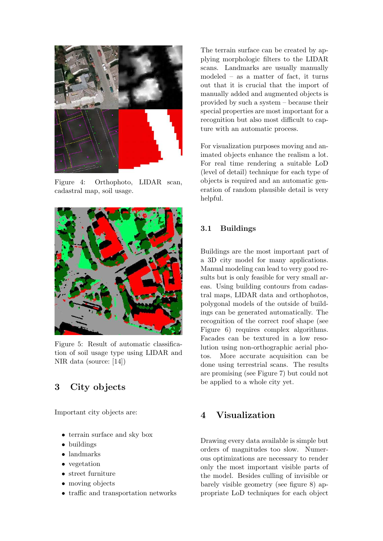

Figure 4: Orthophoto, LIDAR scan, cadastral map, soil usage.

<span id="page-2-0"></span>

Figure 5: Result of automatic classification of soil usage type using LIDAR and NIR data (source: [\[14\]](#page-6-0))

## 3 City objects

Important city objects are:

- $\bullet\,$  terrain surface and sky box
- buildings
- landmarks
- vegetation
- street furniture
- moving objects
- traffic and transportation networks

The terrain surface can be created by applying morphologic filters to the LIDAR scans. Landmarks are usually manually modeled – as a matter of fact, it turns out that it is crucial that the import of manually added and augmented objects is provided by such a system – because their special properties are most important for a recognition but also most difficult to capture with an automatic process.

For visualization purposes moving and animated objects enhance the realism a lot. For real time rendering a suitable LoD (level of detail) technique for each type of objects is required and an automatic generation of random plausible detail is very helpful.

#### 3.1 Buildings

Buildings are the most important part of a 3D city model for many applications. Manual modeling can lead to very good results but is only feasible for very small areas. Using building contours from cadastral maps, LIDAR data and orthophotos, polygonal models of the outside of buildings can be generated automatically. The recognition of the correct roof shape (see Figure [6\)](#page-3-0) requires complex algorithms. Facades can be textured in a low resolution using non-orthographic aerial photos. More accurate acquisition can be done using terrestrial scans. The results are promising (see Figure [7\)](#page-3-1) but could not be applied to a whole city yet.

## 4 Visualization

Drawing every data available is simple but orders of magnitudes too slow. Numerous optimizations are necessary to render only the most important visible parts of the model. Besides culling of invisible or barely visible geometry (see figure [8\)](#page-3-2) appropriate LoD techniques for each object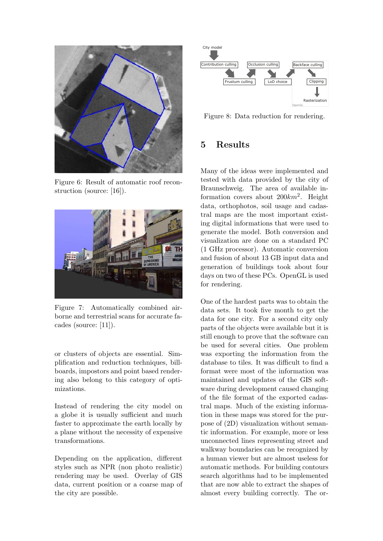

Figure 6: Result of automatic roof reconstruction (source: [\[16\]](#page-6-1)).

<span id="page-3-0"></span>

Figure 7: Automatically combined airborne and terrestrial scans for accurate facades (source: [\[11\]](#page-6-2)).

<span id="page-3-1"></span>or clusters of objects are essential. Simplification and reduction techniques, billboards, impostors and point based rendering also belong to this category of optimizations.

Instead of rendering the city model on a globe it is usually sufficient and much faster to approximate the earth locally by a plane without the necessity of expensive transformations.

Depending on the application, different styles such as NPR (non photo realistic) rendering may be used. Overlay of GIS data, current position or a coarse map of the city are possible.



<span id="page-3-2"></span>Figure 8: Data reduction for rendering.

## 5 Results

Many of the ideas were implemented and tested with data provided by the city of Braunschweig. The area of available information covers about  $200km^2$ . Height data, orthophotos, soil usage and cadastral maps are the most important existing digital informations that were used to generate the model. Both conversion and visualization are done on a standard PC (1 GHz processor). Automatic conversion and fusion of about 13 GB input data and generation of buildings took about four days on two of these PCs. OpenGL is used for rendering.

One of the hardest parts was to obtain the data sets. It took five month to get the data for one city. For a second city only parts of the objects were available but it is still enough to prove that the software can be used for several cities. One problem was exporting the information from the database to tiles. It was difficult to find a format were most of the information was maintained and updates of the GIS software during development caused changing of the file format of the exported cadastral maps. Much of the existing information in these maps was stored for the purpose of (2D) visualization without semantic information. For example, more or less unconnected lines representing street and walkway boundaries can be recognized by a human viewer but are almost useless for automatic methods. For building contours search algorithms had to be implemented that are now able to extract the shapes of almost every building correctly. The or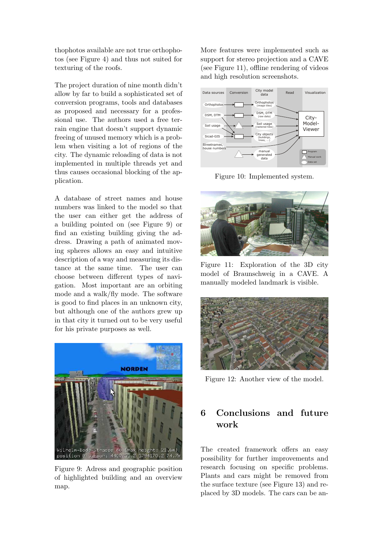thophotos available are not true orthophotos (see Figure [4\)](#page-2-0) and thus not suited for texturing of the roofs.

The project duration of nine month didn't allow by far to build a sophisticated set of conversion programs, tools and databases as proposed and necessary for a professional use. The authors used a free terrain engine that doesn't support dynamic freeing of unused memory which is a problem when visiting a lot of regions of the city. The dynamic reloading of data is not implemented in multiple threads yet and thus causes occasional blocking of the application.

A database of street names and house numbers was linked to the model so that the user can either get the address of a building pointed on (see Figure [9\)](#page-4-0) or find an existing building giving the address. Drawing a path of animated moving spheres allows an easy and intuitive description of a way and measuring its distance at the same time. The user can choose between different types of navigation. Most important are an orbiting mode and a walk/fly mode. The software is good to find places in an unknown city, but although one of the authors grew up in that city it turned out to be very useful for his private purposes as well.



Figure 9: Adress and geographic position of highlighted building and an overview map.

More features were implemented such as support for stereo projection and a CAVE (see Figure [11\)](#page-4-1), offline rendering of videos and high resolution screenshots.



Figure 10: Implemented system.



Figure 11: Exploration of the 3D city model of Braunschweig in a CAVE. A manually modeled landmark is visible.

<span id="page-4-1"></span>

Figure 12: Another view of the model.

# 6 Conclusions and future work

<span id="page-4-0"></span>The created framework offers an easy possibility for further improvements and research focusing on specific problems. Plants and cars might be removed from the surface texture (see Figure [13\)](#page-5-4) and replaced by 3D models. The cars can be an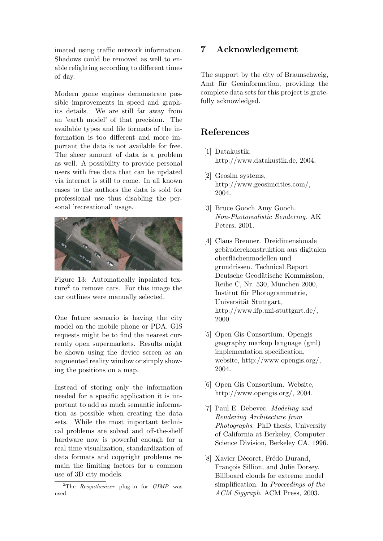imated using traffic network information. Shadows could be removed as well to enable relighting according to different times of day.

Modern game engines demonstrate possible improvements in speed and graphics details. We are still far away from an 'earth model' of that precision. The available types and file formats of the information is too different and more important the data is not available for free. The sheer amount of data is a problem as well. A possibility to provide personal users with free data that can be updated via internet is still to come. In all known cases to the authors the data is sold for professional use thus disabling the personal 'recreational' usage.



Figure 13: Automatically inpainted texture[2](#page-5-5) to remove cars. For this image the car outlines were manually selected.

<span id="page-5-4"></span>One future scenario is having the city model on the mobile phone or PDA. GIS requests might be to find the nearest currently open supermarkets. Results might be shown using the device screen as an augmented reality window or simply showing the positions on a map.

Instead of storing only the information needed for a specific application it is important to add as much semantic information as possible when creating the data sets. While the most important technical problems are solved and off-the-shelf hardware now is powerful enough for a real time visualization, standardization of data formats and copyright problems remain the limiting factors for a common use of 3D city models.

## 7 Acknowledgement

The support by the city of Braunschweig, Amt für Geoinformation, providing the complete data sets for this project is gratefully acknowledged.

## References

- <span id="page-5-3"></span>[1] Datakustik, http://www.datakustik.de, 2004.
- <span id="page-5-2"></span>[2] Geosim systems, http://www.geosimcities.com/, 2004.
- [3] Bruce Gooch Amy Gooch. Non-Photorealistic Rendering. AK Peters, 2001.
- [4] Claus Brenner. Dreidimensionale gebäuderekonstruktion aus digitalen oberfl¨achenmodellen und grundrissen. Technical Report Deutsche Geodätische Kommission, Reihe C, Nr. 530, München 2000, Institut für Photogrammetrie, Universität Stuttgart, http://www.ifp.uni-stuttgart.de/, 2000.
- <span id="page-5-1"></span>[5] Open Gis Consortium. Opengis geography markup language (gml) implementation specification, website, http://www.opengis.org/, 2004.
- <span id="page-5-0"></span>[6] Open Gis Consortium. Website, http://www.opengis.org/, 2004.
- [7] Paul E. Debevec. Modeling and Rendering Architecture from Photographs. PhD thesis, University of California at Berkeley, Computer Science Division, Berkeley CA, 1996.
- [8] Xavier Décoret, Frédo Durand, François Sillion, and Julie Dorsey. Billboard clouds for extreme model simplification. In Proceedings of the ACM Siggraph. ACM Press, 2003.

<span id="page-5-5"></span><sup>&</sup>lt;sup>2</sup>The *Resynthesizer* plug-in for  $GIMP$  was used.